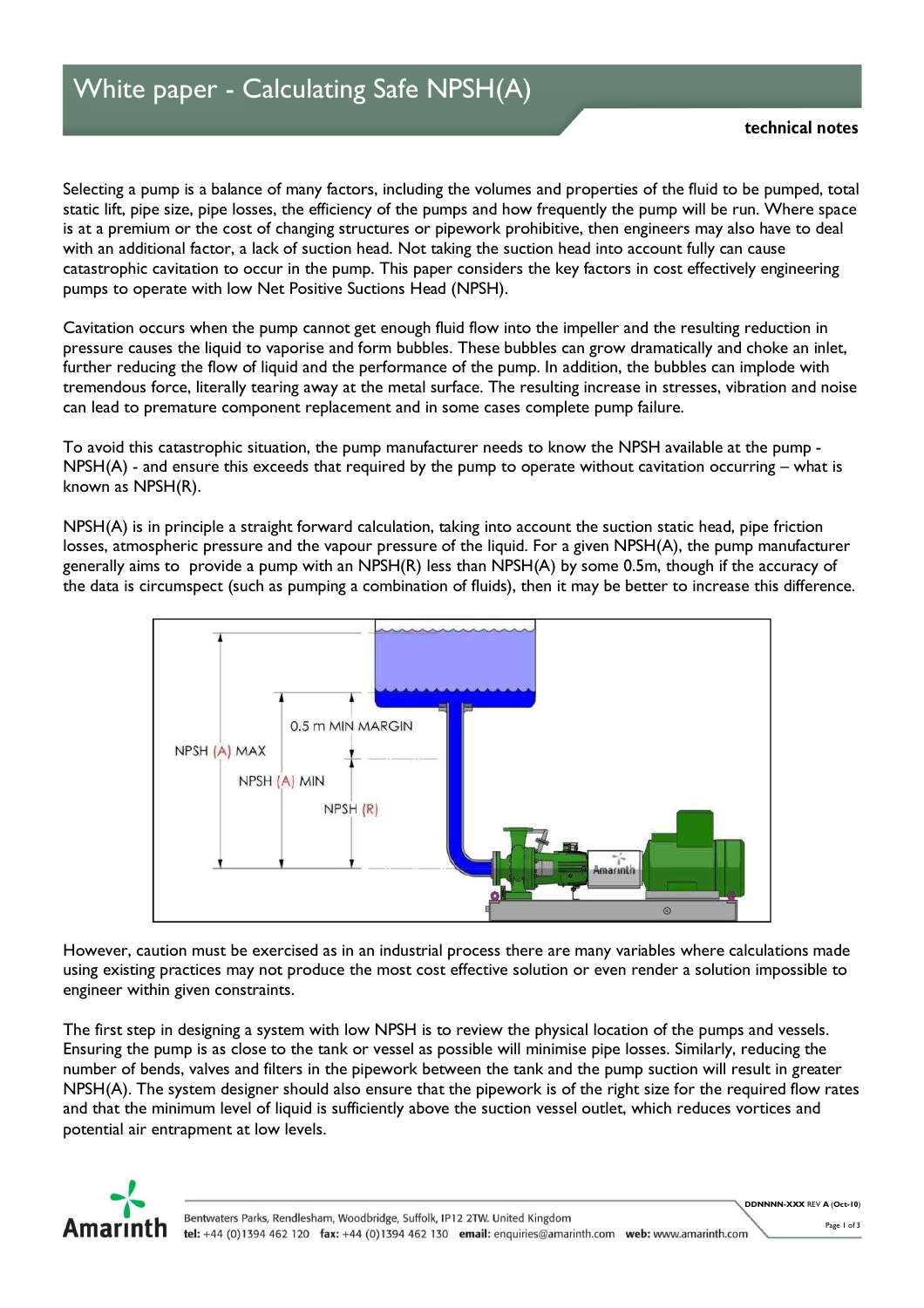Selecting a pump is a balance of many factors, including the volumes and properties of the fluid to be pumped, total static lift, pipe size, pipe losses, the efficiency of the pumps and how frequently the pump will be run. Where space is at a premium or the cost of changing structures or pipework prohibitive, then engineers may also have to deal with an additional factor, a lack of suction head. Not taking the suction head into account fully can cause catastrophic cavitation to occur in the pump. This paper considers the key factors in cost effectively engineering pumps to operate with low Net Positive Suctions Head (NPSH).

Cavitation occurs when the pump cannot get enough fluid flow into the impeller and the resulting reduction in pressure causes the liquid to vaporise and form bubbles. These bubbles can grow dramatically and choke an inlet, further reducing the flow of liquid and the performance of the pump. In addition, the bubbles can implode with tremendous force, literally tearing away at the metal surface. The resulting increase in stresses, vibration and noise can lead to premature component replacement and in some cases complete pump failure.

To avoid this catastrophic situation, the pump manufacturer needs to know the NPSH available at the pump - NPSH(A) - and ensure this exceeds that required by the pump to operate without cavitation occurring – what is known as NPSH(R).

NPSH(A) is in principle a straight forward calculation, taking into account the suction static head, pipe friction losses, atmospheric pressure and the vapour pressure of the liquid. For a given NPSH(A), the pump manufacturer generally aims to provide a pump with an NPSH(R) less than NPSH(A) by some 0.5m, though if the accuracy of the data is circumspect (such as pumping a combination of fluids), then it may be better to increase this difference.



However, caution must be exercised as in an industrial process there are many variables where calculations made using existing practices may not produce the most cost effective solution or even render a solution impossible to engineer within given constraints.

The first step in designing a system with low NPSH is to review the physical location of the pumps and vessels. Ensuring the pump is as close to the tank or vessel as possible will minimise pipe losses. Similarly, reducing the number of bends, valves and filters in the pipework between the tank and the pump suction will result in greater NPSH(A). The system designer should also ensure that the pipework is of the right size for the required flow rates and that the minimum level of liquid is sufficiently above the suction vessel outlet, which reduces vortices and potential air entrapment at low levels.



DDNNNN-XXX REV A (Oct-10)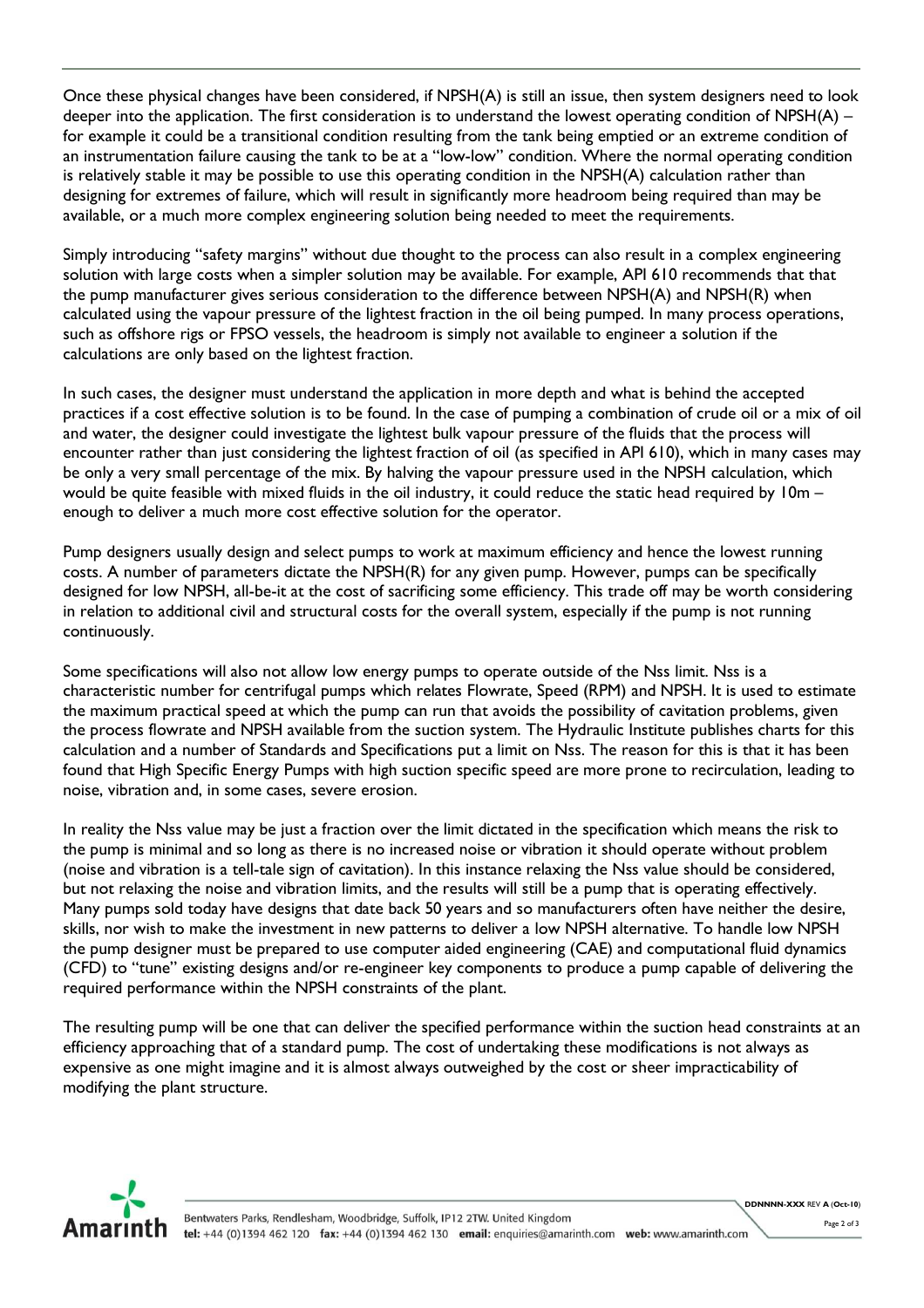Once these physical changes have been considered, if NPSH(A) is still an issue, then system designers need to look deeper into the application. The first consideration is to understand the lowest operating condition of NPSH(A) – for example it could be a transitional condition resulting from the tank being emptied or an extreme condition of an instrumentation failure causing the tank to be at a "low-low" condition. Where the normal operating condition is relatively stable it may be possible to use this operating condition in the NPSH(A) calculation rather than designing for extremes of failure, which will result in significantly more headroom being required than may be available, or a much more complex engineering solution being needed to meet the requirements.

Simply introducing "safety margins" without due thought to the process can also result in a complex engineering solution with large costs when a simpler solution may be available. For example, API 610 recommends that that the pump manufacturer gives serious consideration to the difference between NPSH(A) and NPSH(R) when calculated using the vapour pressure of the lightest fraction in the oil being pumped. In many process operations, such as offshore rigs or FPSO vessels, the headroom is simply not available to engineer a solution if the calculations are only based on the lightest fraction.

In such cases, the designer must understand the application in more depth and what is behind the accepted practices if a cost effective solution is to be found. In the case of pumping a combination of crude oil or a mix of oil and water, the designer could investigate the lightest bulk vapour pressure of the fluids that the process will encounter rather than just considering the lightest fraction of oil (as specified in API 610), which in many cases may be only a very small percentage of the mix. By halving the vapour pressure used in the NPSH calculation, which would be quite feasible with mixed fluids in the oil industry, it could reduce the static head required by 10m – enough to deliver a much more cost effective solution for the operator.

Pump designers usually design and select pumps to work at maximum efficiency and hence the lowest running costs. A number of parameters dictate the NPSH(R) for any given pump. However, pumps can be specifically designed for low NPSH, all-be-it at the cost of sacrificing some efficiency. This trade off may be worth considering in relation to additional civil and structural costs for the overall system, especially if the pump is not running continuously.

Some specifications will also not allow low energy pumps to operate outside of the Nss limit. Nss is a characteristic number for centrifugal pumps which relates Flowrate, Speed (RPM) and NPSH. It is used to estimate the maximum practical speed at which the pump can run that avoids the possibility of cavitation problems, given the process flowrate and NPSH available from the suction system. The Hydraulic Institute publishes charts for this calculation and a number of Standards and Specifications put a limit on Nss. The reason for this is that it has been found that High Specific Energy Pumps with high suction specific speed are more prone to recirculation, leading to noise, vibration and, in some cases, severe erosion.

In reality the Nss value may be just a fraction over the limit dictated in the specification which means the risk to the pump is minimal and so long as there is no increased noise or vibration it should operate without problem (noise and vibration is a tell-tale sign of cavitation). In this instance relaxing the Nss value should be considered, but not relaxing the noise and vibration limits, and the results will still be a pump that is operating effectively. Many pumps sold today have designs that date back 50 years and so manufacturers often have neither the desire, skills, nor wish to make the investment in new patterns to deliver a low NPSH alternative. To handle low NPSH the pump designer must be prepared to use computer aided engineering (CAE) and computational fluid dynamics (CFD) to "tune" existing designs and/or re-engineer key components to produce a pump capable of delivering the required performance within the NPSH constraints of the plant.

The resulting pump will be one that can deliver the specified performance within the suction head constraints at an efficiency approaching that of a standard pump. The cost of undertaking these modifications is not always as expensive as one might imagine and it is almost always outweighed by the cost or sheer impracticability of modifying the plant structure.



DDNNNN-XXX REV A (Oct-10)